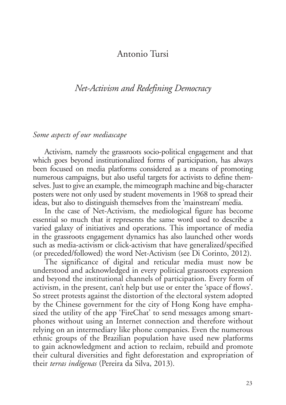## Antonio Tursi

# *Net-Activism and Redefining Democracy*

### *Some aspects of our mediascape*

Activism, namely the grassroots socio-political engagement and that which goes beyond institutionalized forms of participation, has always been focused on media platforms considered as a means of promoting numerous campaigns, but also useful targets for activists to define themselves. Just to give an example, the mimeograph machine and big-character posters were not only used by student movements in 1968 to spread their ideas, but also to distinguish themselves from the 'mainstream' media.

In the case of Net-Activism, the mediological figure has become essential so much that it represents the same word used to describe a varied galaxy of initiatives and operations. This importance of media in the grassroots engagement dynamics has also launched other words such as media-activism or click-activism that have generalized/specified (or preceded/followed) the word Net-Activism (see Di Corinto, 2012).

The significance of digital and reticular media must now be understood and acknowledged in every political grassroots expression and beyond the institutional channels of participation. Every form of activism, in the present, can't help but use or enter the 'space of flows'. So street protests against the distortion of the electoral system adopted by the Chinese government for the city of Hong Kong have emphasized the utility of the app 'FireChat' to send messages among smartphones without using an Internet connection and therefore without relying on an intermediary like phone companies. Even the numerous ethnic groups of the Brazilian population have used new platforms to gain acknowledgment and action to reclaim, rebuild and promote their cultural diversities and fight deforestation and expropriation of their *terras indígenas* (Pereira da Silva, 2013)*.*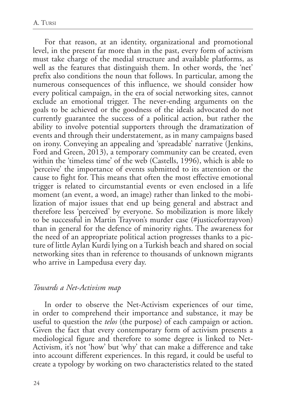For that reason, at an identity, organizational and promotional level, in the present far more than in the past, every form of activism must take charge of the medial structure and available platforms, as well as the features that distinguish them. In other words, the 'net' prefix also conditions the noun that follows. In particular, among the numerous consequences of this influence, we should consider how every political campaign, in the era of social networking sites, cannot exclude an emotional trigger. The never-ending arguments on the goals to be achieved or the goodness of the ideals advocated do not currently guarantee the success of a political action, but rather the ability to involve potential supporters through the dramatization of events and through their understatement, as in many campaigns based on irony. Conveying an appealing and 'spreadable' narrative (Jenkins, Ford and Green, 2013), a temporary community can be created, even within the 'timeless time' of the web (Castells, 1996), which is able to 'perceive' the importance of events submitted to its attention or the cause to fight for. This means that often the most effective emotional trigger is related to circumstantial events or even enclosed in a life moment (an event, a word, an image) rather than linked to the mobilization of major issues that end up being general and abstract and therefore less 'perceived' by everyone. So mobilization is more likely to be successful in Martin Trayvon's murder case (#justicefortrayvon) than in general for the defence of minority rights. The awareness for the need of an appropriate political action progresses thanks to a picture of little Aylan Kurdi lying on a Turkish beach and shared on social networking sites than in reference to thousands of unknown migrants who arrive in Lampedusa every day.

### *Towards a Net-Activism map*

In order to observe the Net-Activism experiences of our time, in order to comprehend their importance and substance, it may be useful to question the *telos* (the purpose) of each campaign or action. Given the fact that every contemporary form of activism presents a mediological figure and therefore to some degree is linked to Net-Activism, it's not 'how' but 'why' that can make a difference and take into account different experiences. In this regard, it could be useful to create a typology by working on two characteristics related to the stated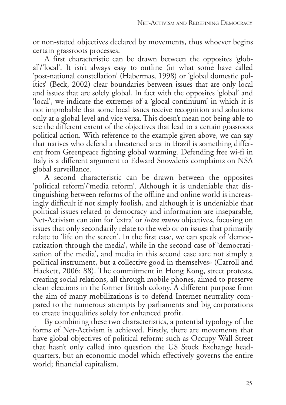or non-stated objectives declared by movements, thus whoever begins certain grassroots processes.

A first characteristic can be drawn between the opposites 'global'/'local'. It isn't always easy to outline (in what some have called 'post-national constellation' (Habermas, 1998) or 'global domestic politics' (Beck, 2002) clear boundaries between issues that are only local and issues that are solely global. In fact with the opposites 'global' and 'local', we indicate the extremes of a 'glocal continuum' in which it is not improbable that some local issues receive recognition and solutions only at a global level and vice versa. This doesn't mean not being able to see the different extent of the objectives that lead to a certain grassroots political action. With reference to the example given above, we can say that natives who defend a threatened area in Brazil is something different from Greenpeace fighting global warming. Defending free wi-fi in Italy is a different argument to Edward Snowden's complaints on NSA global surveillance.

A second characteristic can be drawn between the opposites 'political reform'/'media reform'. Although it is undeniable that distinguishing between reforms of the offline and online world is increasingly difficult if not simply foolish, and although it is undeniable that political issues related to democracy and information are inseparable, Net-Activism can aim for 'extra' or *intra muros* objectives, focusing on issues that only secondarily relate to the web or on issues that primarily relate to 'life on the screen'. In the first case, we can speak of 'democratization through the media', while in the second case of 'democratization of the media', and media in this second case «are not simply a political instrument, but a collective good in themselves» (Carroll and Hackett, 2006: 88). The commitment in Hong Kong, street protests, creating social relations, all through mobile phones, aimed to preserve clean elections in the former British colony. A different purpose from the aim of many mobilizations is to defend Internet neutrality compared to the numerous attempts by parliaments and big corporations to create inequalities solely for enhanced profit.

By combining these two characteristics, a potential typology of the forms of Net-Activism is achieved. Firstly, there are movements that have global objectives of political reform: such as Occupy Wall Street that hasn't only called into question the US Stock Exchange headquarters, but an economic model which effectively governs the entire world; financial capitalism.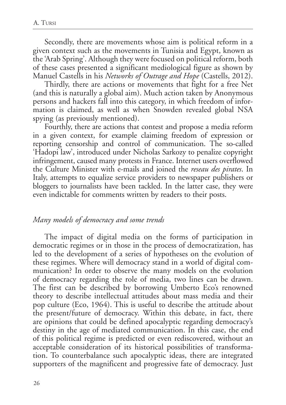Secondly, there are movements whose aim is political reform in a given context such as the movements in Tunisia and Egypt, known as the 'Arab Spring'. Although they were focused on political reform, both of these cases presented a significant mediological figure as shown by Manuel Castells in his *Networks of Outrage and Hope* (Castells, 2012).

Thirdly, there are actions or movements that fight for a free Net (and this is naturally a global aim). Much action taken by Anonymous persons and hackers fall into this category, in which freedom of information is claimed, as well as when Snowden revealed global NSA spying (as previously mentioned).

Fourthly, there are actions that contest and propose a media reform in a given context, for example claiming freedom of expression or reporting censorship and control of communication. The so-called 'Hadopi law', introduced under Nicholas Sarkozy to penalize copyright infringement, caused many protests in France. Internet users overflowed the Culture Minister with e-mails and joined the *reseau des pirates*. In Italy, attempts to equalize service providers to newspaper publishers or bloggers to journalists have been tackled. In the latter case, they were even indictable for comments written by readers to their posts.

#### *Many models of democracy and some trends*

The impact of digital media on the forms of participation in democratic regimes or in those in the process of democratization, has led to the development of a series of hypotheses on the evolution of these regimes. Where will democracy stand in a world of digital communication? In order to observe the many models on the evolution of democracy regarding the role of media, two lines can be drawn. The first can be described by borrowing Umberto Eco's renowned theory to describe intellectual attitudes about mass media and their pop culture (Eco, 1964). This is useful to describe the attitude about the present/future of democracy. Within this debate, in fact, there are opinions that could be defined apocalyptic regarding democracy's destiny in the age of mediated communication. In this case, the end of this political regime is predicted or even rediscovered, without an acceptable consideration of its historical possibilities of transformation. To counterbalance such apocalyptic ideas, there are integrated supporters of the magnificent and progressive fate of democracy. Just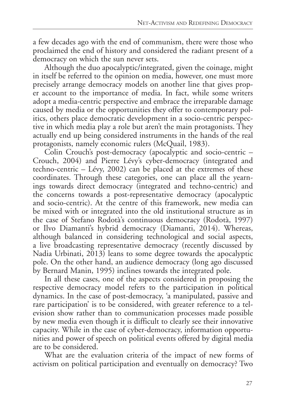a few decades ago with the end of communism, there were those who proclaimed the end of history and considered the radiant present of a democracy on which the sun never sets.

Although the duo apocalyptic/integrated, given the coinage, might in itself be referred to the opinion on media, however, one must more precisely arrange democracy models on another line that gives proper account to the importance of media. In fact, while some writers adopt a media-centric perspective and embrace the irreparable damage caused by media or the opportunities they offer to contemporary politics, others place democratic development in a socio-centric perspective in which media play a role but aren't the main protagonists. They actually end up being considered instruments in the hands of the real protagonists, namely economic rulers (McQuail, 1983).

Colin Crouch's post-democracy (apocalyptic and socio-centric – Crouch, 2004) and Pierre Lévy's cyber-democracy (integrated and techno-centric – Lévy, 2002) can be placed at the extremes of these coordinates. Through these categories, one can place all the yearnings towards direct democracy (integrated and techno-centric) and the concerns towards a post-representative democracy (apocalyptic and socio-centric). At the centre of this framework, new media can be mixed with or integrated into the old institutional structure as in the case of Stefano Rodotà's continuous democracy (Rodotà, 1997) or Ilvo Diamanti's hybrid democracy (Diamanti, 2014). Whereas, although balanced in considering technological and social aspects, a live broadcasting representative democracy (recently discussed by Nadia Urbinati, 2013) leans to some degree towards the apocalyptic pole. On the other hand, an audience democracy (long ago discussed by Bernard Manin, 1995) inclines towards the integrated pole.

In all these cases, one of the aspects considered in proposing the respective democracy model refers to the participation in political dynamics. In the case of post-democracy, 'a manipulated, passive and rare participation' is to be considered, with greater reference to a television show rather than to communication processes made possible by new media even though it is difficult to clearly see their innovative capacity. While in the case of cyber-democracy, information opportunities and power of speech on political events offered by digital media are to be considered.

What are the evaluation criteria of the impact of new forms of activism on political participation and eventually on democracy? Two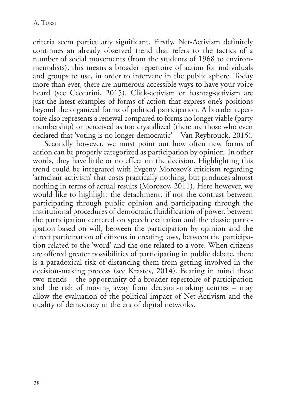criteria seem particularly significant. Firstly, Net-Activism definitely continues an already observed trend that refers to the tactics of a number of social movements (from the students of 1968 to environmentalists), this means a broader repertoire of action for individuals and groups to use, in order to intervene in the public sphere. Today more than ever, there are numerous accessible ways to have your voice heard (see Ceccarini, 2015). Click-activism or hashtag-activism are just the latest examples of forms of action that express one's positions beyond the organized forms of political participation. A broader repertoire also represents a renewal compared to forms no longer viable (party membership) or perceived as too crystallized (there are those who even declared that 'voting is no longer democratic' – Van Reybrouck, 2015).

Secondly however, we must point out how often new forms of action can be properly categorized as participation by opinion. In other words, they have little or no effect on the decision. Highlighting this trend could be integrated with Evgeny Morozov's criticism regarding 'armchair activism' that costs practically nothing, but produces almost nothing in terms of actual results (Morozov, 2011). Here however, we would like to highlight the detachment, if not the contrast between participating through public opinion and participating through the institutional procedures of democratic fluidification of power, between the participation centered on speech exaltation and the classic participation based on will, between the participation by opinion and the direct participation of citizens in creating laws, between the participation related to the 'word' and the one related to a vote. When citizens are offered greater possibilities of participating in public debate, there is a paradoxical risk of distancing them from getting involved in the decision-making process (see Krastev, 2014). Bearing in mind these two trends – the opportunity of a broader repertoire of participation and the risk of moving away from decision-making centres – may allow the evaluation of the political impact of Net-Activism and the quality of democracy in the era of digital networks.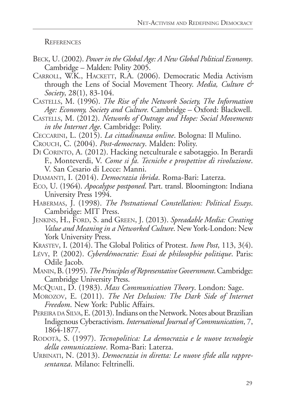**REFERENCES** 

- Beck, U. (2002). *Power in the Global Age: A New Global Political Economy*. Cambridge – Malden: Polity 2005.
- CARROLL, W.K., HACKETT, R.A. (2006). Democratic Media Activism through the Lens of Social Movement Theory. *Media, Culture & Society*, 28(1), 83-104.
- Castells, M. (1996). *The Rise of the Network Society, The Information Age: Economy, Society and Culture.* Cambridge – Oxford: Blackwell.
- Castells, M. (2012). *Networks of Outrage and Hope: Social Movements in the Internet Age*. Cambridge: Polity.
- Ceccarini, L. (2015). *La cittadinanza online*. Bologna: Il Mulino.
- Crouch, C. (2004). *Post-democracy*. Malden: Polity.
- Di Corinto, A. (2012). Hacking netculturale e sabotaggio. In Berardi F., Monteverdi, V. *Come si fa. Tecniche e prospettive di rivoluzione*. V. San Cesario di Lecce: Manni.
- Diamanti, I. (2014). *Democrazia ibrida*. Roma-Bari: Laterza.
- Eco, U. (1964). *Apocalypse postponed*. Part. transl. Bloomington: Indiana University Press 1994.
- Habermas, J. (1998). *The Postnational Constellation: Political Essays*. Cambridge: MIT Press.
- JENKINS, H., FORD, S. and GREEN, J. (2013). *Spreadable Media: Creating Value and Meaning in a Networked Culture*. New York-London: New York University Press.
- Krastev, I. (2014). The Global Politics of Protest. *Iwm Post*, 113, 3(4).
- Lévy, P. (2002). *Cyberdémocratie: Essai de philosophie politique*. Paris: Odile Jacob.
- Manin, B. (1995). *The Principles of Representative Government*. Cambridge: Cambridge University Press.
- McQuail, D. (1983). *Mass Communication Theory*. London: Sage.
- Morozov, E. (2011). *The Net Delusion: The Dark Side of Internet Freedom*. New York: Public Affairs.
- PEREIRA DA SILVA, E. (2013). Indians on the Network. Notes about Brazilian Indigenous Cyberactivism. *International Journal of Communication*, 7, 1864-1877.
- RODOTÀ, S. (1997). *Tecnopolitica: La democrazia e le nuove tecnologie della comunicazione*. Roma-Bari: Laterza.
- Urbinati, N. (2013). *Democrazia in diretta: Le nuove sfide alla rappresentanza*. Milano: Feltrinelli.